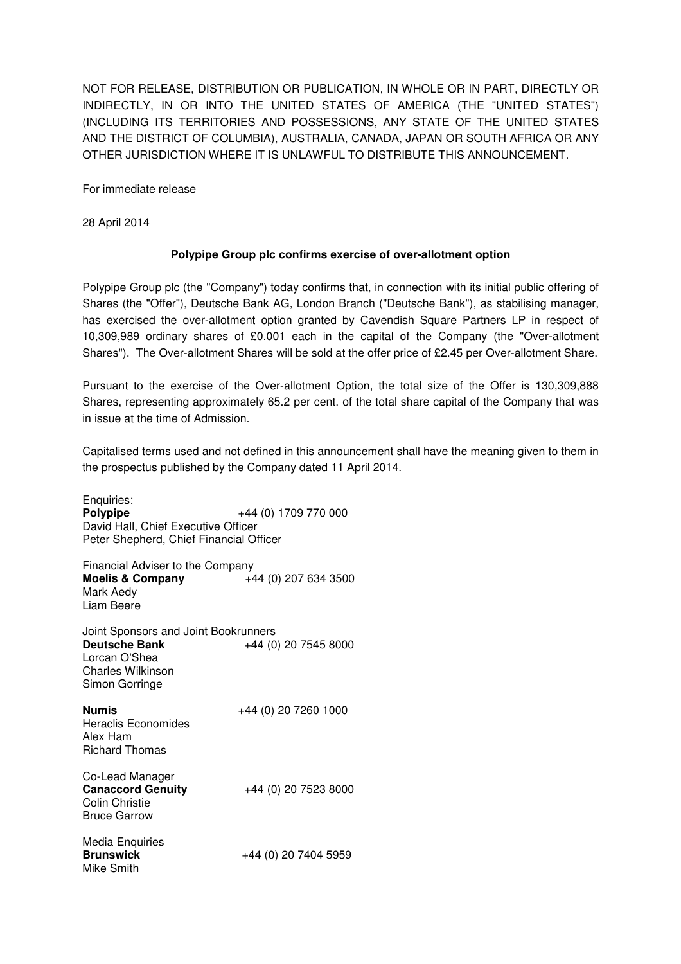NOT FOR RELEASE, DISTRIBUTION OR PUBLICATION, IN WHOLE OR IN PART, DIRECTLY OR INDIRECTLY, IN OR INTO THE UNITED STATES OF AMERICA (THE "UNITED STATES") (INCLUDING ITS TERRITORIES AND POSSESSIONS, ANY STATE OF THE UNITED STATES AND THE DISTRICT OF COLUMBIA), AUSTRALIA, CANADA, JAPAN OR SOUTH AFRICA OR ANY OTHER JURISDICTION WHERE IT IS UNLAWFUL TO DISTRIBUTE THIS ANNOUNCEMENT.

For immediate release

28 April 2014

## **Polypipe Group plc confirms exercise of over-allotment option**

Polypipe Group plc (the "Company") today confirms that, in connection with its initial public offering of Shares (the "Offer"), Deutsche Bank AG, London Branch ("Deutsche Bank"), as stabilising manager, has exercised the over-allotment option granted by Cavendish Square Partners LP in respect of 10,309,989 ordinary shares of £0.001 each in the capital of the Company (the "Over-allotment Shares"). The Over-allotment Shares will be sold at the offer price of £2.45 per Over-allotment Share.

Pursuant to the exercise of the Over-allotment Option, the total size of the Offer is 130,309,888 Shares, representing approximately 65.2 per cent. of the total share capital of the Company that was in issue at the time of Admission.

Capitalised terms used and not defined in this announcement shall have the meaning given to them in the prospectus published by the Company dated 11 April 2014.

Enquiries: **Polypipe**  $+44 (0) 1709 770 000$ David Hall, Chief Executive Officer Peter Shepherd, Chief Financial Officer Financial Adviser to the Company **Moelis & Company** +44 (0) 207 634 3500 Mark Aedy Liam Beere Joint Sponsors and Joint Bookrunners<br>Deutsche Bank +44 (0 **Deutsche Bank** +44 (0) 20 7545 8000 Lorcan O'Shea Charles Wilkinson Simon Gorringe **Numis**  $+44$  (0) 20 7260 1000 Heraclis Economides Alex Ham Richard Thomas Co-Lead Manager **Canaccord Genuity** +44 (0) 20 7523 8000 Colin Christie Bruce Garrow Media Enquiries **Brunswick** +44 (0) 20 7404 5959 Mike Smith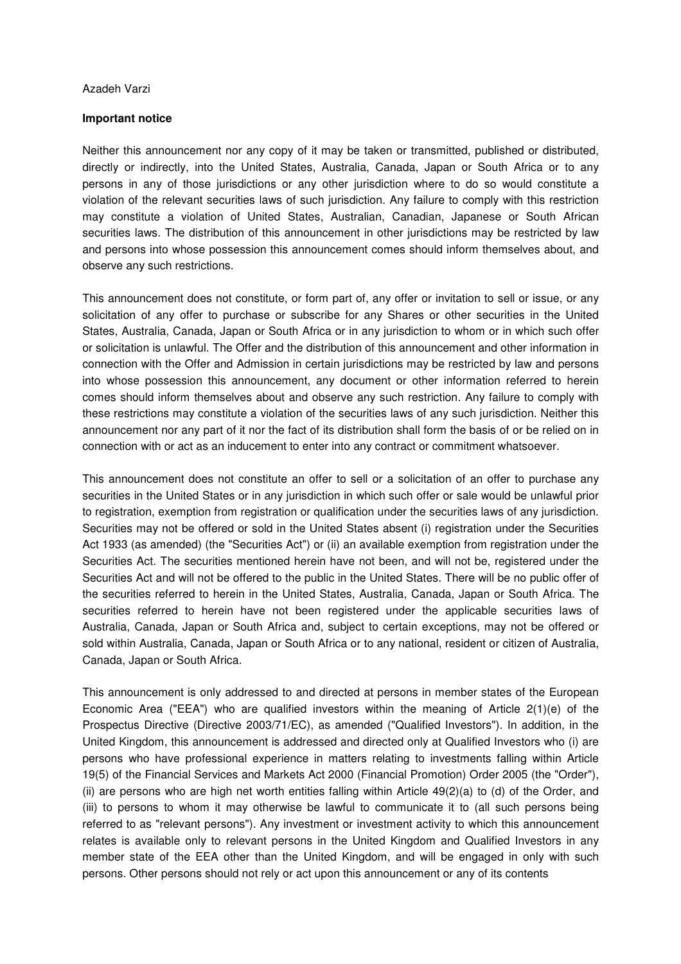## Azadeh Varzi

## **Important notice**

Neither this announcement nor any copy of it may be taken or transmitted, published or distributed, directly or indirectly, into the United States, Australia, Canada, Japan or South Africa or to any persons in any of those jurisdictions or any other jurisdiction where to do so would constitute a violation of the relevant securities laws of such jurisdiction. Any failure to comply with this restriction may constitute a violation of United States, Australian, Canadian, Japanese or South African securities laws. The distribution of this announcement in other jurisdictions may be restricted by law and persons into whose possession this announcement comes should inform themselves about, and observe any such restrictions.

This announcement does not constitute, or form part of, any offer or invitation to sell or issue, or any solicitation of any offer to purchase or subscribe for any Shares or other securities in the United States, Australia, Canada, Japan or South Africa or in any jurisdiction to whom or in which such offer or solicitation is unlawful. The Offer and the distribution of this announcement and other information in connection with the Offer and Admission in certain jurisdictions may be restricted by law and persons into whose possession this announcement, any document or other information referred to herein comes should inform themselves about and observe any such restriction. Any failure to comply with these restrictions may constitute a violation of the securities laws of any such jurisdiction. Neither this announcement nor any part of it nor the fact of its distribution shall form the basis of or be relied on in connection with or act as an inducement to enter into any contract or commitment whatsoever.

This announcement does not constitute an offer to sell or a solicitation of an offer to purchase any securities in the United States or in any jurisdiction in which such offer or sale would be unlawful prior to registration, exemption from registration or qualification under the securities laws of any jurisdiction. Securities may not be offered or sold in the United States absent (i) registration under the Securities Act 1933 (as amended) (the "Securities Act") or (ii) an available exemption from registration under the Securities Act. The securities mentioned herein have not been, and will not be, registered under the Securities Act and will not be offered to the public in the United States. There will be no public offer of the securities referred to herein in the United States, Australia, Canada, Japan or South Africa. The securities referred to herein have not been registered under the applicable securities laws of Australia, Canada, Japan or South Africa and, subject to certain exceptions, may not be offered or sold within Australia, Canada, Japan or South Africa or to any national, resident or citizen of Australia, Canada, Japan or South Africa.

This announcement is only addressed to and directed at persons in member states of the European Economic Area ("EEA") who are qualified investors within the meaning of Article 2(1)(e) of the Prospectus Directive (Directive 2003/71/EC), as amended ("Qualified Investors"). In addition, in the United Kingdom, this announcement is addressed and directed only at Qualified Investors who (i) are persons who have professional experience in matters relating to investments falling within Article 19(5) of the Financial Services and Markets Act 2000 (Financial Promotion) Order 2005 (the "Order"), (ii) are persons who are high net worth entities falling within Article 49(2)(a) to (d) of the Order, and (iii) to persons to whom it may otherwise be lawful to communicate it to (all such persons being referred to as "relevant persons"). Any investment or investment activity to which this announcement relates is available only to relevant persons in the United Kingdom and Qualified Investors in any member state of the EEA other than the United Kingdom, and will be engaged in only with such persons. Other persons should not rely or act upon this announcement or any of its contents